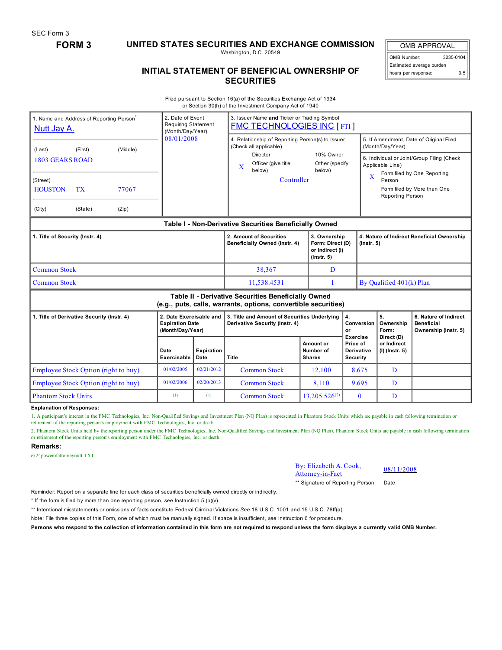SEC Form 3

## **FORM 3 UNITED STATES SECURITIES AND EXCHANGE COMMISSION**

Washington, D.C. 20549

OMB APPROVAL OMB Number: 3235-0104 Estimated average burden hours per response: 0.5

## **INITIAL STATEMENT OF BENEFICIAL OWNERSHIP OF SECURITIES**

Filed pursuant to Section 16(a) of the Securities Exchange Act of 1934 or Section 30(h) of the Investment Company Act of 1940

| Nutt Jay A.                                | 1. Name and Address of Reporting Person <sup>®</sup> |                                                                       | 2. Date of Event<br><b>Requiring Statement</b><br>(Month/Day/Year) |                                                                                | 3. Issuer Name and Ticker or Trading Symbol<br><b>FMC TECHNOLOGIES INC [ FTI ]</b>                                    |                                                                     |                                                               |                                                                                               |  |  |
|--------------------------------------------|------------------------------------------------------|-----------------------------------------------------------------------|--------------------------------------------------------------------|--------------------------------------------------------------------------------|-----------------------------------------------------------------------------------------------------------------------|---------------------------------------------------------------------|---------------------------------------------------------------|-----------------------------------------------------------------------------------------------|--|--|
| (Middle)<br>(First)<br>(Last)              |                                                      |                                                                       | 08/01/2008                                                         |                                                                                | 4. Relationship of Reporting Person(s) to Issuer<br>(Check all applicable)                                            |                                                                     |                                                               | 5. If Amendment, Date of Original Filed<br>(Month/Day/Year)                                   |  |  |
| <b>1803 GEARS ROAD</b>                     |                                                      |                                                                       |                                                                    |                                                                                | Director<br>Officer (give title<br>$\mathbf x$<br>below)                                                              | 10% Owner<br>Other (specify<br>below)                               |                                                               | 6. Individual or Joint/Group Filing (Check<br>Applicable Line)<br>Form filed by One Reporting |  |  |
| (Street)                                   |                                                      |                                                                       |                                                                    |                                                                                | Controller                                                                                                            |                                                                     | $\overline{\mathbf{X}}$                                       | Person<br>Form filed by More than One<br>Reporting Person                                     |  |  |
| <b>HOUSTON</b><br><b>TX</b><br>77067       |                                                      |                                                                       |                                                                    |                                                                                |                                                                                                                       |                                                                     |                                                               |                                                                                               |  |  |
| (City)                                     | (State)                                              | (Zip)                                                                 |                                                                    |                                                                                |                                                                                                                       |                                                                     |                                                               |                                                                                               |  |  |
|                                            |                                                      |                                                                       |                                                                    |                                                                                | Table I - Non-Derivative Securities Beneficially Owned                                                                |                                                                     |                                                               |                                                                                               |  |  |
| 1. Title of Security (Instr. 4)            |                                                      |                                                                       |                                                                    | 2. Amount of Securities<br>Beneficially Owned (Instr. 4)                       | 3. Ownership<br>Form: Direct (D)<br>or Indirect (I)<br>$($ lnstr. 5 $)$                                               |                                                                     | 4. Nature of Indirect Beneficial Ownership<br>$($ lnstr. $5)$ |                                                                                               |  |  |
| <b>Common Stock</b>                        |                                                      |                                                                       |                                                                    | 38,367                                                                         | D                                                                                                                     |                                                                     |                                                               |                                                                                               |  |  |
| <b>Common Stock</b>                        |                                                      |                                                                       |                                                                    | 11,538.4531                                                                    | T                                                                                                                     |                                                                     | By Qualified 401(k) Plan                                      |                                                                                               |  |  |
|                                            |                                                      |                                                                       |                                                                    |                                                                                | Table II - Derivative Securities Beneficially Owned<br>(e.g., puts, calls, warrants, options, convertible securities) |                                                                     |                                                               |                                                                                               |  |  |
| 1. Title of Derivative Security (Instr. 4) |                                                      | 2. Date Exercisable and<br><b>Expiration Date</b><br>(Month/Day/Year) |                                                                    | 3. Title and Amount of Securities Underlying<br>Derivative Security (Instr. 4) |                                                                                                                       | 4.<br><b>Conversion</b><br>or                                       | 5.<br>Ownership<br>Form:                                      | 6. Nature of Indirect<br><b>Beneficial</b><br>Ownership (Instr. 5)                            |  |  |
|                                            |                                                      | Date<br>Exercisable                                                   | <b>Expiration</b><br>Date                                          | Title                                                                          | Amount or<br>Number of<br><b>Shares</b>                                                                               | <b>Exercise</b><br>Price of<br><b>Derivative</b><br><b>Security</b> | Direct (D)<br>or Indirect<br>$(I)$ (Instr. 5)                 |                                                                                               |  |  |
|                                            | Employee Stock Option (right to buy)                 |                                                                       | 01/02/2005                                                         | 02/21/2012                                                                     | <b>Common Stock</b>                                                                                                   | 12,100                                                              | 8.675                                                         | D                                                                                             |  |  |
|                                            | Employee Stock Option (right to buy)                 |                                                                       | 01/02/2006                                                         | 02/20/2013                                                                     | <b>Common Stock</b>                                                                                                   | 8.110                                                               | 9.695                                                         | D                                                                                             |  |  |
| <b>Phantom Stock Units</b>                 |                                                      |                                                                       | (1)                                                                | (1)                                                                            | <b>Common Stock</b>                                                                                                   | $13.205.526^{(2)}$                                                  | $\mathbf{0}$                                                  | D                                                                                             |  |  |

**Explanation of Responses:**

1. A participant's interest in the FMC Technologies, Inc. Non-Qualified Savings and Investment Plan (NQ Plan) is represented in Phantom Stock Units which are payable in cash following termination or retirement of the reporting person's employment with FMC Technologies, Inc. or death.

2. Phantom Stock Units held by the reporting person under the FMC Technologies, Inc. Non-Qualified Savings and Investment Plan (NQ Plan). Phantom Stock Units are payable in cash following termination or retirement of the reporting person's employment with FMC Technologies, Inc. or death.

## **Remarks:**

ex24powerofattorneynutt.TXT

| By: Elizabeth A. Cook, |
|------------------------|
| Attorney-in-Fact       |

08/11/2008

\*\* Signature of Reporting Person Date

Reminder: Report on a separate line for each class of securities beneficially owned directly or indirectly.

\* If the form is filed by more than one reporting person, *see* Instruction 5 (b)(v).

\*\* Intentional misstatements or omissions of facts constitute Federal Criminal Violations *See* 18 U.S.C. 1001 and 15 U.S.C. 78ff(a).

Note: File three copies of this Form, one of which must be manually signed. If space is insufficient, *see* Instruction 6 for procedure.

Persons who respond to the collection of information contained in this form are not required to respond unless the form displays a currently valid OMB Number.